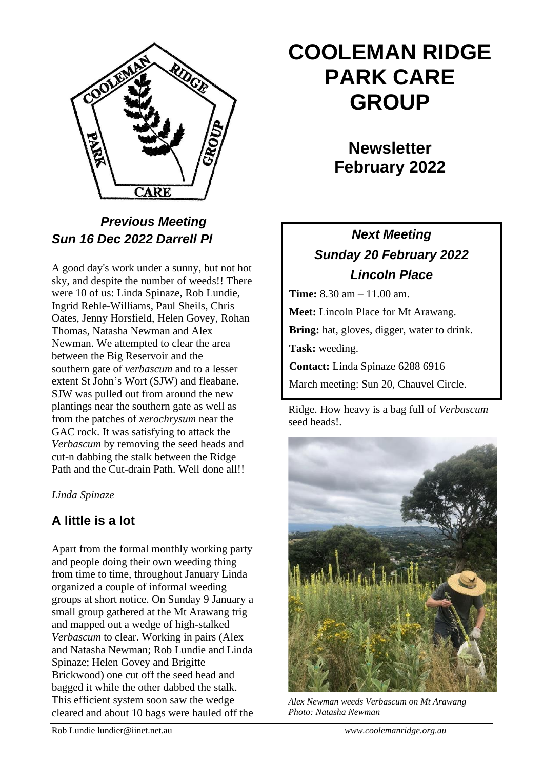

## *Previous Meeting Sun 16 Dec 2022 Darrell Pl*

A good day's work under a sunny, but not hot sky, and despite the number of weeds!! There were 10 of us: Linda Spinaze, Rob Lundie, Ingrid Rehle-Williams, Paul Sheils, Chris Oates, Jenny Horsfield, Helen Govey, Rohan Thomas, Natasha Newman and Alex Newman. We attempted to clear the area between the Big Reservoir and the southern gate of *verbascum* and to a lesser extent St John's Wort (SJW) and fleabane. SJW was pulled out from around the new plantings near the southern gate as well as from the patches of *xerochrysum* near the GAC rock. It was satisfying to attack the *Verbascum* by removing the seed heads and cut-n dabbing the stalk between the Ridge Path and the Cut-drain Path. Well done all!!

#### *Linda Spinaze*

#### **A little is a lot**

Apart from the formal monthly working party and people doing their own weeding thing from time to time, throughout January Linda organized a couple of informal weeding groups at short notice. On Sunday 9 January a small group gathered at the Mt Arawang trig and mapped out a wedge of high-stalked *Verbascum* to clear. Working in pairs (Alex and Natasha Newman; Rob Lundie and Linda Spinaze; Helen Govey and Brigitte Brickwood) one cut off the seed head and bagged it while the other dabbed the stalk. This efficient system soon saw the wedge cleared and about 10 bags were hauled off the

# **COOLEMAN RIDGE PARK CARE GROUP**

# **Newsletter February 2022**

# *Next Meeting Sunday 20 February 2022 Lincoln Place*

**Time:** 8.30 am – 11.00 am.

**Meet:** Lincoln Place for Mt Arawang.

**Bring:** hat, gloves, digger, water to drink.

**Task:** weeding.

**Contact:** Linda Spinaze 6288 6916

March meeting: Sun 20, Chauvel Circle.

Ridge. How heavy is a bag full of *Verbascum* seed heads!.



*Alex Newman weeds Verbascum on Mt Arawang Photo: Natasha Newman*